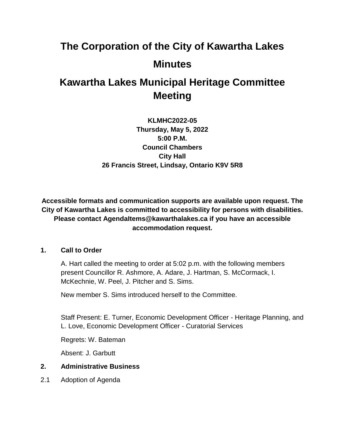# **The Corporation of the City of Kawartha Lakes Minutes**

# **Kawartha Lakes Municipal Heritage Committee Meeting**

**KLMHC2022-05 Thursday, May 5, 2022 5:00 P.M. Council Chambers City Hall 26 Francis Street, Lindsay, Ontario K9V 5R8**

**Accessible formats and communication supports are available upon request. The City of Kawartha Lakes is committed to accessibility for persons with disabilities. Please contact AgendaItems@kawarthalakes.ca if you have an accessible accommodation request.** 

# **1. Call to Order**

A. Hart called the meeting to order at 5:02 p.m. with the following members present Councillor R. Ashmore, A. Adare, J. Hartman, S. McCormack, I. McKechnie, W. Peel, J. Pitcher and S. Sims.

New member S. Sims introduced herself to the Committee.

Staff Present: E. Turner, Economic Development Officer - Heritage Planning, and L. Love, Economic Development Officer - Curatorial Services

Regrets: W. Bateman

Absent: J. Garbutt

# **2. Administrative Business**

2.1 Adoption of Agenda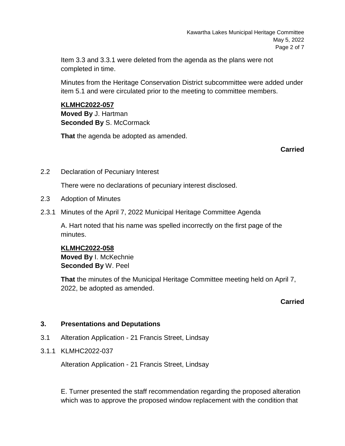Item 3.3 and 3.3.1 were deleted from the agenda as the plans were not completed in time.

Minutes from the Heritage Conservation District subcommittee were added under item 5.1 and were circulated prior to the meeting to committee members.

# **KLMHC2022-057**

**Moved By** J. Hartman **Seconded By** S. McCormack

**That** the agenda be adopted as amended.

**Carried**

2.2 Declaration of Pecuniary Interest

There were no declarations of pecuniary interest disclosed.

- 2.3 Adoption of Minutes
- 2.3.1 Minutes of the April 7, 2022 Municipal Heritage Committee Agenda

A. Hart noted that his name was spelled incorrectly on the first page of the minutes.

# **KLMHC2022-058**

**Moved By** I. McKechnie **Seconded By** W. Peel

**That** the minutes of the Municipal Heritage Committee meeting held on April 7, 2022, be adopted as amended.

# **Carried**

# **3. Presentations and Deputations**

- 3.1 Alteration Application 21 Francis Street, Lindsay
- 3.1.1 KLMHC2022-037

Alteration Application - 21 Francis Street, Lindsay

E. Turner presented the staff recommendation regarding the proposed alteration which was to approve the proposed window replacement with the condition that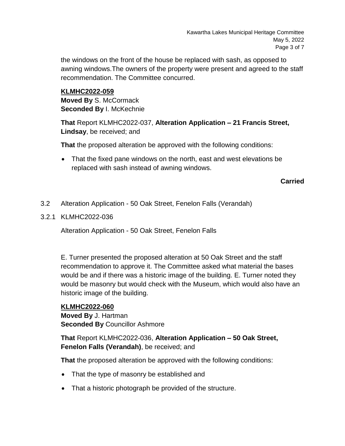the windows on the front of the house be replaced with sash, as opposed to awning windows.The owners of the property were present and agreed to the staff recommendation. The Committee concurred.

#### **KLMHC2022-059**

**Moved By** S. McCormack **Seconded By I. McKechnie** 

**That** Report KLMHC2022-037, **Alteration Application – 21 Francis Street, Lindsay**, be received; and

**That** the proposed alteration be approved with the following conditions:

 That the fixed pane windows on the north, east and west elevations be replaced with sash instead of awning windows.

#### **Carried**

- 3.2 Alteration Application 50 Oak Street, Fenelon Falls (Verandah)
- 3.2.1 KLMHC2022-036

Alteration Application - 50 Oak Street, Fenelon Falls

E. Turner presented the proposed alteration at 50 Oak Street and the staff recommendation to approve it. The Committee asked what material the bases would be and if there was a historic image of the building. E. Turner noted they would be masonry but would check with the Museum, which would also have an historic image of the building.

#### **KLMHC2022-060**

**Moved By** J. Hartman **Seconded By** Councillor Ashmore

**That** Report KLMHC2022-036, **Alteration Application – 50 Oak Street, Fenelon Falls (Verandah)**, be received; and

**That** the proposed alteration be approved with the following conditions:

- That the type of masonry be established and
- That a historic photograph be provided of the structure.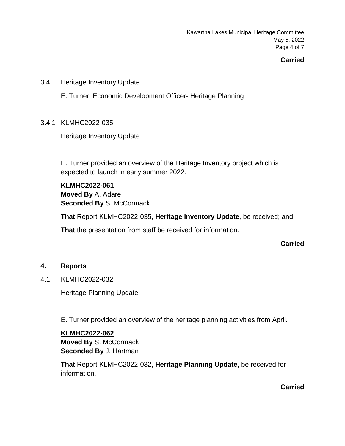Kawartha Lakes Municipal Heritage Committee May 5, 2022 Page 4 of 7

# **Carried**

3.4 Heritage Inventory Update

E. Turner, Economic Development Officer- Heritage Planning

#### 3.4.1 KLMHC2022-035

Heritage Inventory Update

E. Turner provided an overview of the Heritage Inventory project which is expected to launch in early summer 2022.

#### **KLMHC2022-061**

**Moved By** A. Adare **Seconded By S. McCormack** 

**That** Report KLMHC2022-035, **Heritage Inventory Update**, be received; and **That** the presentation from staff be received for information.

#### **Carried**

#### **4. Reports**

4.1 KLMHC2022-032

Heritage Planning Update

E. Turner provided an overview of the heritage planning activities from April.

#### **KLMHC2022-062**

**Moved By** S. McCormack **Seconded By** J. Hartman

**That** Report KLMHC2022-032, **Heritage Planning Update**, be received for information.

**Carried**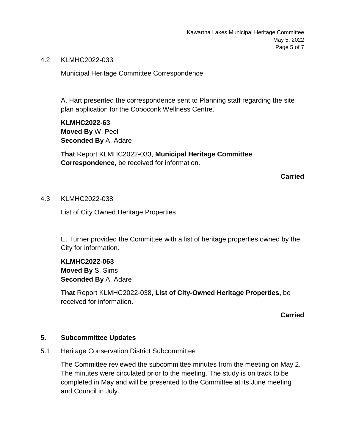4.2 KLMHC2022-033

Municipal Heritage Committee Correspondence

A. Hart presented the correspondence sent to Planning staff regarding the site plan application for the Coboconk Wellness Centre.

**KLMHC2022-63 Moved By** W. Peel **Seconded By** A. Adare

**That** Report KLMHC2022-033, **Municipal Heritage Committee Correspondence**, be received for information.

**Carried**

#### 4.3 KLMHC2022-038

List of City Owned Heritage Properties

E. Turner provided the Committee with a list of heritage properties owned by the City for information.

#### **KLMHC2022-063**

**Moved By** S. Sims **Seconded By** A. Adare

**That** Report KLMHC2022-038, **List of City-Owned Heritage Properties,** be received for information.

#### **Carried**

#### **5. Subcommittee Updates**

5.1 Heritage Conservation District Subcommittee

The Committee reviewed the subcommittee minutes from the meeting on May 2. The minutes were circulated prior to the meeting. The study is on track to be completed in May and will be presented to the Committee at its June meeting and Council in July.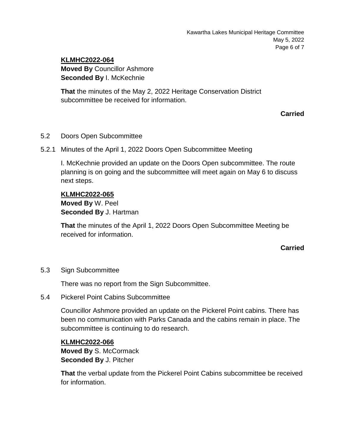# **KLMHC2022-064**

**Moved By** Councillor Ashmore **Seconded By I. McKechnie** 

**That** the minutes of the May 2, 2022 Heritage Conservation District subcommittee be received for information.

**Carried**

#### 5.2 Doors Open Subcommittee

5.2.1 Minutes of the April 1, 2022 Doors Open Subcommittee Meeting

I. McKechnie provided an update on the Doors Open subcommittee. The route planning is on going and the subcommittee will meet again on May 6 to discuss next steps.

# **KLMHC2022-065 Moved By** W. Peel **Seconded By** J. Hartman

**That** the minutes of the April 1, 2022 Doors Open Subcommittee Meeting be received for information.

# **Carried**

#### 5.3 Sign Subcommittee

There was no report from the Sign Subcommittee.

5.4 Pickerel Point Cabins Subcommittee

Councillor Ashmore provided an update on the Pickerel Point cabins. There has been no communication with Parks Canada and the cabins remain in place. The subcommittee is continuing to do research.

#### **KLMHC2022-066**

**Moved By** S. McCormack **Seconded By** J. Pitcher

**That** the verbal update from the Pickerel Point Cabins subcommittee be received for information.